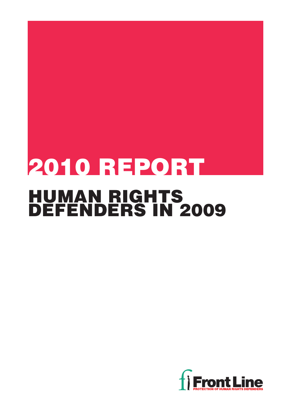# 2010 REPORT HUMAN RIGHTS DEFENDERS IN 2009

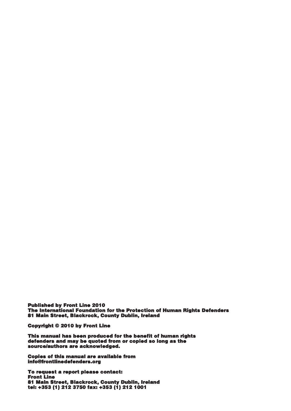Published by Front Line 2010 The International Foundation for the Protection of Human Rights Defenders 81 Main Street, Blackrock, County Dublin, Ireland

Copyright © 2010 by Front Line

This manual has been produced for the benefit of human rights defenders and may be quoted from or copied so long as the source/authors are acknowledged.

Copies of this manual are available from info@frontlinedefenders.org

To request a report please contact: Front Line 81 Main Street, Blackrock, County Dublin, Ireland tel: +353 (1) 212 3750 fax: +353 (1) 212 1001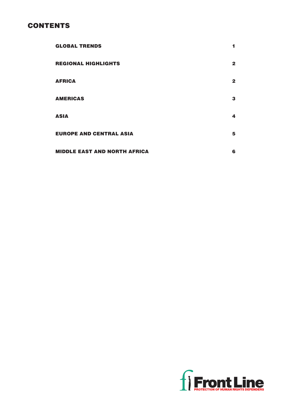## **CONTENTS**

| <b>GLOBAL TRENDS</b>                | 1            |
|-------------------------------------|--------------|
| <b>REGIONAL HIGHLIGHTS</b>          | $\mathbf{2}$ |
| <b>AFRICA</b>                       | $\mathbf{2}$ |
| <b>AMERICAS</b>                     | 3            |
| <b>ASIA</b>                         | 4            |
| <b>EUROPE AND CENTRAL ASIA</b>      | 5            |
| <b>MIDDLE EAST AND NORTH AFRICA</b> | 6            |

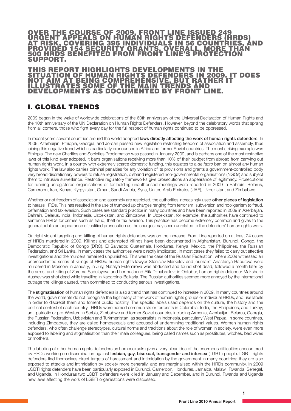### OVER THE COURSE OF 2009, FRONT LINE ISSUED 249<br>URGENT APPEALS ON HUMAN RIGHTS DEFENDERS (HRDS) URGENT APPEALS ON HUMAN RIGHTS DEFENDERS (HRDS) AT RISK, COVERING <sup>396</sup> INDIVIDUALS IN <sup>56</sup> COUNTRIES, AND PROVIDED 154 SECURITY GRANTS. OVERALL, MORE THAN 500 HRDS BENEFITED FROM FRONT LINE'S PROTECTION SUPPORT.

#### THIS REPORT HIGHLIGHTS DEVELOPMENTS IN THE SITUATION OF HUMAN RIGHTS DEFENDERS IN 2009. IT DOES NOT AIM AT BEING COMPREHENSIVE, BUT RATHER IT ILLUSTRATES SOME OF THE MAIN TRENDS AND DEVELOPMENTS AS DOCUMENTED BY FRONT LINE.

## I. GLOBAL TRENDS

2009 began in the wake of worldwide celebrations of the 60th anniversary of the Universal Declaration of Human Rights and the 10th anniversary of the UN Declaration on Human Rights Defenders. However, beyond the celebratory words that sprang from all corners, those who fight every day for the full respect of human rights continued to be oppressed.

In recent vears several countries around the world adopted laws directly affecting the work of human rights defenders. In 2009, Azerbaijan, Ethiopia, Georgia, and Jordan passed new legislation restricting freedom of association and assembly, thus joining this negative trend which is particularly pronounced in Africa and former Soviet countries. The most striking example was Ethiopia. The new Charities and Societies Proclamation was passed in January 2009, and is perhaps one of the most restrictive laws of this kind ever adopted. It bans organisations receiving more than 10% of their budget from abroad from carrying out human rights work. In a country with extremely scarce domestic funding, this equates to a *de facto* ban on almost any human rights work. The law also carries criminal penalties for any violation of its provisions and grants a government-controlled body very broad discretionary powers to refuse registration, disband registered non-governmental organisations (NGOs) and subject them to intrusive surveillance. Restrictive regulatory frameworks give prosecutions an appearance of legitimacy. Prosecutions for running unregistered organisations or for holding unauthorised meetings were reported in 2009 in Bahrain, Belarus, Cameroon, Iran, Kenya, Kyrgyzstan, Oman, Saudi Arabia, Syria, United Arab Emirates (UAE), Uzbekistan, and Zimbabwe.

Whether or not freedom of association and assembly are restricted, the authorities increasingly used other pieces of legislation to harass HRDs. This has resulted in the use of trumped up charges ranging from terrorism, subversion and hooliganism to fraud, defamation and tax evasion. Such cases are standard practice in many countries and have been reported in 2009 in Azerbaijan, Bahrain, Belarus, India, Indonesia, Uzbekistan, and Zimbabwe. In Uzbekistan, for example, the authorities have continued to sentence HRDs for crimes such as fraud, theft or tax evasion. This practice has become extremely common and gives to the general public an appearance of justified prosecution as the charges may seem unrelated to the defenders' human rights work.

Outright violent targeting and killing of human rights defenders was on the increase. Front Line reported on at least 24 cases of HRDs murdered in 2009. Killings and attempted killings have been documented in Afghanistan, Burundi, Congo, the Democratic Republic of Congo (DRC), El Salvador, Guatemala, Honduras, Kenya, Mexico, the Philippines, the Russian Federation, and Sri Lanka. In many cases the authorities were directly implicated. In most cases they failed to carry out effective investigations and the murders remained unpunished. This was the case of the Russian Federation, where 2009 witnessed an unprecedented series of killings of HRDs: human rights lawyer Stanislav Markelov and journalist Anastasya Baburova were murdered in Moscow in January; in July, Natalya Estemirova was abducted and found shot dead, followed a month later by the arrest and killing of Zarema Sadulayeva and her husband Alik Dzhabrailov; in October, human rights defender Maksharip Aushev was shot dead while travelling in Kabardino-Balkaria. The Russian authorities seemed more annoyed by the international outrage the killings caused, than committed to conducting serious investigations.

The stigmatisation of human rights defenders is also a trend that has continued to increase in 2009. In many countries around the world, governments do not recognise the legitimacy of the work of human rights groups or individual HRDs, and use labels in order to discredit them and foment public hostility. The specific labels used depends on the culture, the history and the political context of each country. HRDs were named communists or terrorists in Colombia, India, the Philippines, and Turkey; anti-patriotic or pro-Western in Serbia, Zimbabwe and former Soviet countries including Armenia, Azerbaijan, Belarus, Georgia, the Russian Federation, Uzbekistan and Turkmenistan; as separatists in Indonesia, particularly West Papua. In some countries, including Zimbabwe, they are called homosexuals and accused of undermining traditional values. Women human rights defenders, who often challenge stereotypes, cultural norms and traditions about the role of women in society, were even more exposed to labelling and stigmatisation than their male colleagues, being called names such as prostitutes, witches, bad wives or mothers.

The labelling of other human rights defenders as homosexuals gives a very clear idea of the enormous difficulties encountered by HRDs working on discrimination against lesbian, gay, bisexual, transgender and intersex (LGBTI) people. LGBTI rights defenders find themselves direct targets of harassment and intimidation by the government in many countries; they are also exposed to attacks and intimidation by society more generally, and are marginalised within the HRDs community. In 2009 LGBTI rights defenders have been particularly exposed in Burundi, Cameroon, Honduras, Jamaica, Malawi, Rwanda, Senegal, and Uganda. In Honduras two LGBTI defenders were killed in January and December, and in Burundi, Rwanda and Uganda new laws affecting the work of LGBTI organisations were discussed.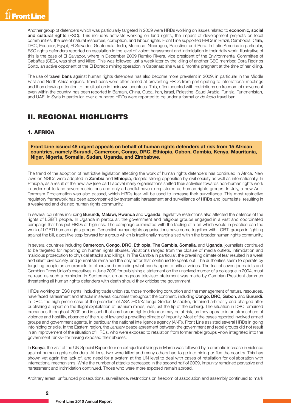Another group of defenders which was particularly targeted in 2009 were HRDs working on issues related to economic, social and cultural rights (ESC). This includes activists working on land rights, the impact of development projects on local communities, the use of natural resources, corruption, and labour rights. Front Line supported HRDs in Brazil, Cambodia, Chile, DRC, Ecuador, Egypt, El Salvador, Guatemala, India, Morocco, Nicaragua, Palestine, and Peru. In Latin America in particular, ESC rights defenders reported an escalation in the level of violent harassment and intimidation in their daily work. Illustrative of this is the case of El Salvador, where in December 2009 Ramiro Rivera, vice president of the Environmental Committee of Cabañas (CEC), was shot and killed. This was followed just a week later by the killing of another CEC member, Dora Recinos Sorto, an active opponent of the El Dorado mining operation in Cabañas; she was 8 months pregnant at the time of her killing.

The use of travel bans against human rights defenders has also become more prevalent in 2009, in particular in the Middle East and North Africa regions. Travel bans were often aimed at preventing HRDs from participating to international meetings and thus drawing attention to the situation in their own countries. This, often coupled with restrictions on freedom of movement even within the country, has been reported in Bahrain, China, Cuba, Iran, Israel, Palestine, Saudi Arabia, Tunisia, Turkmenistan, and UAE. In Syria in particular, over a hundred HRDs were reported to be under a formal or *de facto* travel ban.

## II. REGIONAL HIGHLIGHTS

#### 1. AFRICA

**Front Line issued 48 urgent appeals on behalf of human rights defenders at risk from 15 African countries, namely Burundi, Cameroon, Congo, DRC, Ethiopia, Gabon, Gambia, Kenya, Mauritania, Niger, Nigeria, Somalia, Sudan, Uganda, and Zimbabwe.**

The trend of the adoption of restrictive legislation affecting the work of human rights defenders has continued in Africa. New laws on NGOs were adopted in Zambia and Ethiopia, despite strong opposition by civil society as well as internationally. In Ethiopia, as a result of the new law (see part I above) many organisations shifted their activities towards non-human rights work in order not to face severe restrictions and only a handful have re-registered as human rights groups. In July, a new Anti-Terrorism Proclamation was also passed, which HRDs fear will be used to increase their surveillance. This most restrictive regulatory framework has been accompanied by systematic harassment and surveillance of HRDs and journalists, resulting in a weakened and drained human rights community.

In several countries including **Burundi, Malawi, Rwanda** and Uganda, legislative restrictions also affected the defence of the rights of LGBTI people. In Uganda in particular, the government and religious groups engaged in a vast and coordinated campaign that has put HRDs at high risk. The campaign culminated with the tabling of a bill which would in practice ban the work of LGBTI human rights groups. Generalist human rights organisations have come together with LGBTI groups in fighting against the bill, a positive step forward for a group which is traditionally marginalised within the broader human rights community.

In several countries including Cameroon, Congo, DRC, Ethiopia, The Gambia, Somalia, and Uganda, journalists continued to be targeted for reporting on human rights abuses. Violations ranged from the closure of media outlets, intimidation and malicious prosecution to physical attacks and killings. In The Gambia in particular, the prevailing climate of fear resulted in a weak and silent civil society, and journalists remained the only actor that continued to speak out. The authorities seem to operate by targeting people as an example to others and reminding what can happen to critical voices. The trial of seven journalists and Gambian Press Union's executives in June 2009 for publishing a statement on the unsolved murder of a colleague in 2004, must be read as such a reminder. In September, an outrageous televised statement was made by Gambian President Jammeh threatening all human rights defenders with death should they criticise the government.

HRDs working on ESC rights, including trade unionists, those monitoring corruption and the management of natural resources, have faced harassment and attacks in several countries throughout the continent, including Congo, DRC, Gabon, and Burundi. In DRC, the high-profile case of the president of ASADHO/Katanga Golden Misabiko, detained arbitrarily and charged after publishing a report on the illegal exploitation of uranium mines, was just the tip of the iceberg. The situation in DRC remained precarious throughout 2009 and is such that any human rights defender may be at risk, as they operate in an atmosphere of violence and hostility, absence of the rule of law and a prevailing climate of impunity. Most of the cases reported involved armed groups and government agents, in particular the national intelligence agency (ANR). Front Line assisted several HRDs in going into hiding or exile. In the Eastern region, the January peace agreement between the government and rebel groups did not result in an improvement of the situation of HRDs, who were exposed to retaliation from former rebel groups –now integrated into the government ranks– for having exposed their abuses.

In Kenya, the visit of the UN Special Rapporteur on extrajudicial killings in March was followed by a dramatic increase in violence against human rights defenders. At least two were killed and many others had to go into hiding or flee the country. This has shown yet again the lack of, and need for a system at the UN level to deal with cases of retaliation for collaboration with international mechanisms. While the number of attacks decreased in the second half of 2009, impunity remained pervasive and harassment and intimidation continued. Those who were more exposed remain abroad.

Arbitrary arrest, unfounded prosecutions, surveillance, restrictions on freedom of association and assembly continued to mark

**2**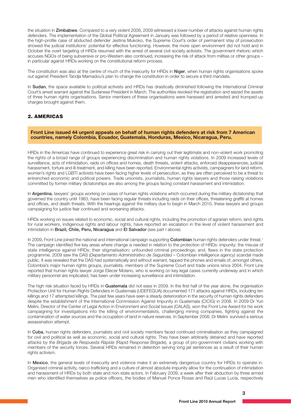the situation in **Zimbabwe**. Compared to a very violent 2008, 2009 witnessed a lower number of attacks against human rights defenders. The implementation of the Global Political Agreement in January was followed by a period of relative openness. In the high-profile case of abducted defender Jestina Mukoko, the Supreme Court's order of permanent stay of prosecution showed the judicial institutions' potential for effective functioning. However, the more open environment did not hold and in October the overt targeting of HRDs resumed with the arrest of several civil society activists. The government rhetoric which accuses NGOs of being subversive or pro-Western also continued, increasing the risk of attack from militias or other groups – in particular against HRDs working on the constitutional reform process.

The constitution was also at the centre of much of the insecurity for HRDs in **Niger**, when human rights organisations spoke out against President Tandja Mamadou's plan to change the constitution in order to secure a third mandate.

In Sudan, the space available to political activists and HRDs has drastically diminished following the International Criminal Court's arrest warrant against the Sudanese President in March. The authorities revoked the registration and seized the assets of three human rights organisations. Senior members of these organisations were harassed and arrested and trumped-up charges brought against them.

#### 2. AMERICAS

**Front Line issued 44 urgent appeals on behalf of human rights defenders at risk from 7 American countries, namely Colombia, Ecuador, Guatemala, Honduras, Mexico, Nicaragua, Peru.**

HRDs in the Americas have continued to experience great risk in carrying out their legitimate and non-violent work promoting the rights of a broad range of groups experiencing discrimination and human rights violations. In 2009 increased levels of surveillance, acts of intimidation, raids on offices and homes, death threats, violent attacks, enforced disappearances, judicial harassment, torture and ill-treatment, and killing have been reported. Environmental rights activists, campaigners for land reform, women's rights and LGBTI activists have been facing higher levels of persecution, as they are often perceived to be a threat to entrenched economic and political powers. Trade unionists, journalists, human rights lawyers and those raising violations committed by former military dictatorships are also among the groups facing constant harassment and intimidation.

In Argentina, lawyers' groups working on cases of human rights violations which occurred during the military dictatorship that governed the country until 1983, have been facing regular threats including raids on their offices, threatening graffiti at homes and offices, and death threats. With the hearings against the military due to begin in March 2010, these lawyers and groups campaigning for justice fear continued and worsening attacks.

HRDs working on issues related to economic, social and cultural rights, including the promotion of agrarian reform, land rights for rural workers, indigenous rights and labour rights, have reported an escalation in the level of violent harassment and intimidation in Brazil, Chile, Peru, Nicaragua and El Salvador (see part I above).

In 2009, Front Line joined the national and international campaign supporting Colombian human rights defenders under threat.<sup>1</sup> The campaign identified five key areas where change is needed in relation to the protection of HRDs: impunity; the misuse of state intelligence against HRDs; their stigmatisation; unfounded criminal proceedings; and, flaws in the state protection programme. 2009 saw the DAS (*Departamento Administrativo de Seguridad* – Colombian intelligence agency) scandal made public. It was revealed that the DAS had systematically and without warrant, tapped the phones and emails of, amongst others, Colombia's major human rights groups, journalists, members of the Supreme Court and trade unions since 2004. Front Line reported that human rights lawyer Jorge Eliecer Molano, who is working on key legal cases currently underway and in which military personnel are implicated, has been under increasing surveillance and intimidation.

The high risk situation faced by HRDs in Guatemala did not ease in 2009. In the first half of the year alone, the organisation Protection Unit for Human Rights Defenders in Guatemala (UDEFEGUA) documented 171 attacks against HRDs, including ten killings and 17 attempted killings. The past few years have seen a steady deterioration in the security of human rights defenders despite the establishment of the International Commission Against Impunity in Guatemala (CICIG) in 2008. In 2009 Dr Yuri Melini, Director of the Center of Legal Action in Environment and Social Issues (CALAS), won the Front Line Award for his work campaigning for investigations into the killing of environmentalists, challenging mining companies, fighting against the contamination of water sources and the occupation of land in nature reserves. In September 2008, Dr Melini survived a serious assassination attempt.

In Cuba, human rights defenders, journalists and civil society members faced continued criminalisation as they campaigned for civil and political as well as economic, social and cultural rights. They have been arbitrarily detained and have reported attacks by the *Brigada de Respuesta Rápida* (Rapid Response Brigade), a group of pro-government civilians working with members of the security forces. Several HRDs remained in detention serving long jail sentences as a result of their human rights activism.

In Mexico, the general levels of insecurity and violence make it an extremely dangerous country for HRDs to operate in. Organised criminal activity, narco-trafficking and a culture of almost absolute impunity allow for the continuation of intimidation and harassment of HRDs by both state and non-state actors. In February 2009, a week after their abduction by three armed men who identified themselves as police officers, the bodies of Manuel Ponce Rosas and Raúl Lucas Lucía, respectively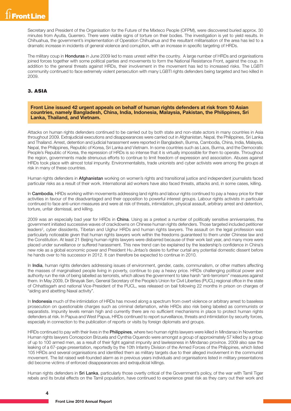Secretary and President of the Organisation for the Future of the Mixteco People (OFPM), were discovered buried approx. 30 minutes from Ayutla, Guerrero. There were visible signs of torture on their bodies. The investigation is yet to yield results. In Chihuahua, the government's implementation of Operation Chihuahua and the resultant militarisation of the area has led to a dramatic increase in incidents of general violence and corruption, with an increase in specific targeting of HRDs.

The military coup in **Honduras** in June 2009 led to mass unrest within the country. A large number of HRDs and organisations joined forces together with some political parties and movements to form the National Resistance Front, against the coup. In addition to the general threats against HRDs, their involvement in the movement has led to increased risks. The LGBTI community continued to face extremely violent persecution with many LGBTI rights defenders being targeted and two killed in 2009.

#### 3. ASIA

**Front Line issued 42 urgent appeals on behalf of human rights defenders at risk from 10 Asian countries, namely Bangladesh, China, India, Indonesia, Malaysia, Pakistan, the Philippines, Sri Lanka, Thailand, and Vietnam.**

Attacks on human rights defenders continued to be carried out by both state and non-state actors in many countries in Asia throughout 2009. Extrajudicial executions and disappearances were carried out in Afghanistan, Nepal, the Philippines, Sri Lanka and Thailand. Arrest, detention and judicial harassment were reported in Bangladesh, Burma, Cambodia, China, India, Malaysia, Nepal, the Philippines, Republic of Korea, Sri Lanka and Vietnam. In some countries such as Laos, Burma, and the Democratic People's Republic of Korea, the repression of HRDs is so intense that it is virtually impossible for them to operate. Throughout the region, governments made strenuous efforts to continue to limit freedom of expression and association. Abuses against HRDs took place with almost total impunity. Environmentalists, trade unionists and cyber activists were among the groups at risk in many of these countries.

Human rights defenders in **Afghanistan** working on women's rights and transitional justice and independent journalists faced particular risks as a result of their work. International aid workers have also faced threats, attacks and, in some cases, killing.

In Cambodia, HRDs working within movements addressing land rights and labour rights continued to pay a heavy price for their activities in favour of the disadvantaged and their opposition to powerful interest groups. Labour rights activists in particular continued to face anti-union measures and were at risk of threats, intimidation, physical assault, arbitrary arrest and detention, torture, unfair dismissal, and killing.

2009 was an especially bad year for HRDs in China. Using as a pretext a number of politically sensitive anniversaries, the government initiated successive waves of crackdowns on Chinese human rights defenders. Those targeted included petitioner leaders<sup>2</sup>, cyber dissidents, Tibetan and Uighur HRDs and human rights lawyers. The assault on the legal profession was particularly noticeable given that human rights lawyers work within the freedoms guaranteed to them under Chinese law and the Constitution. At least 21 Beijing human rights lawyers were disbarred because of their work last year, and many more were placed under surveillance or suffered harassment. This new trend can be explained by the leadership's confidence in China's new role as a global economic power and President Hu Jintao's desire to further curtail any potential domestic dissent before he hands over to his successor in 2012. It can therefore be expected to continue in 2010.

In India, human rights defenders addressing issues of environment, gender, caste, communalism, or other matters affecting the masses of marginalised people living in poverty, continue to pay a heavy price. HRDs challenging political power and authority run the risk of being labelled as terrorists, which allows the government to take harsh "anti-terrorism" measures against them. In May 2009, Dr Binayak Sen, General Secretary of the People's Union for Civil Liberties (PUCL) regional office in the state of Chhattisgarh and national Vice-President of the PUCL, was released on bail following 22 months in prison on charges of "aiding and abetting Naxal activity".

In Indonesia much of the intimidation of HRDs has moved along a spectrum from overt violence or arbitrary arrest to baseless prosecution on questionable charges such as criminal defamation, while HRDs also risk being labeled as communists or separatists. Impunity levels remain high and currently there are no sufficient mechanisms in place to protect human rights defenders at risk. In Papua and West Papua, HRDs continued to report surveillance, threats and intimidation by security forces, especially in connection to the publication of reports or visits by foreign diplomats and groups.

HRDs continued to pay with their lives in the Philippines, where two human rights lawyers were killed in Mindanao in November. Human rights lawyers Concepcion Brizuela and Cynthia Oquendo were amongst a group of approximately 57 killed by a group of up to 100 armed men, as a result of their fight against impunity and lawlessness in Mindanao province. 2009 also saw the leaking of a 67-page presentation, reportedly by the 10th Infantry Division of the Armed Forces of the Philippines, which listed 105 HRDs and several organisations and identified them as military targets due to their alleged involvement in the communist movement. The list raised well-founded alarm as in previous years individuals and organisations listed in military presentations did become victims of enforced disappearances and extrajudicial killings.

Human rights defenders in Sri Lanka, particularly those overtly critical of the Government's policy, of the war with Tamil Tiger rebels and its brutal effects on the Tamil population, have continued to experience great risk as they carry out their work and

**4**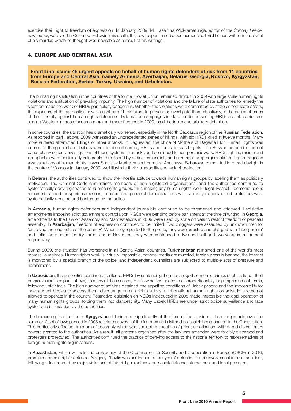exercise their right to freedom of expression. In January 2009, Mr Lasantha Wickramatunga, editor of the *Sunday Leader* newspaper, was killed in Colombo. Following his death, the newspaper carried a posthumous editorial he had written in the event of his murder, which he thought was inevitable as a result of his writings.

#### 4. EUROPE AND CENTRAL ASIA

**Front Line issued 45 urgent appeals on behalf of human rights defenders at risk from 11 countries from Europe and Central Asia, namely Armenia, Azerbaijan, Belarus, Georgia, Kosovo, Kyrgyzstan, Russian Federation, Serbia, Turkey, Ukraine, and Uzbekistan.**

The human rights situation in the countries of the former Soviet Union remained difficult in 2009 with large scale human rights violations and a situation of prevailing impunity. The high number of violations and the failure of state authorities to remedy the situation made the work of HRDs particularly dangerous. Whether the violations were committed by state or non-state actors, the exposure of the authorities' involvement, or of their failure to prevent or investigate them effectively, is the cause of much of their hostility against human rights defenders. Defamation campaigns in state media presenting HRDs as anti-patriotic or serving Western interests became more and more frequent in 2009, as did attacks and arbitrary detention.

In some countries, the situation has dramatically worsened, especially in the North Caucasus region of the Russian Federation. As reported in part I above, 2009 witnessed an unprecedented series of killings, with six HRDs killed in twelve months. Many more suffered attempted killings or other attacks. In Daguestan, the office of Mothers of Dagestan for Human Rights was burned to the ground and leaflets were distributed naming HRDs and journalists as targets. The Russian authorities did not conduct any serious investigations of these systematic attacks and continued to hamper their work. HRDs fighting racism and xenophobia were particularly vulnerable, threatened by radical nationalists and ultra right-wing organisations. The outrageous assassinations of human rights lawyer Stanislav Markelov and journalist Anastasya Baburova, committed in broad daylight in the centre of Moscow in January 2009, well illustrate their vulnerability and lack of protection.

In Belarus, the authorities continued to show their hostile attitude towards human rights groups by labelling them as politically motivated. The Criminal Code criminalises members of non-registered organisations, and the authorities continued to systematically deny registration to human rights groups, thus making any human rights work illegal. Peaceful demonstrations remained banned for spurious reasons, unauthorised peaceful demonstrations were violently dispersed and protesters were systematically arrested and beaten up by the police.

In Armenia, human rights defenders and independent journalists continued to be threatened and attacked. Legislative amendments imposing strict government control upon NGOs were pending before parliament at the time of writing. In Georgia, amendments to the Law on Assembly and Manifestations in 2009 were used by state officials to restrict freedom of peaceful assembly. In Azerbaijan, freedom of expression continued to be limited. Two bloggers were assaulted by unknown men for 'criticising the leadership of the country'. When they reported to the police, they were arrested and charged with 'hooliganism' and 'infliction of minor bodily harm', and in November they were sentenced to two and half and two years imprisonment respectively.

During 2009, the situation has worsened in all Central Asian countries. Turkmenistan remained one of the world's most repressive regimes. Human rights work is virtually impossible, national media are muzzled, foreign press is banned, the Internet is monitored by a special branch of the police, and independent journalists are subjected to multiple acts of pressure and harassment.

In Uzbekistan, the authorities continued to silence HRDs by sentencing them for alleged economic crimes such as fraud, theft or tax evasion (see part I above). In many of these cases, HRDs were sentenced to disproportionately long imprisonment terms, following unfair trials. The high number of activists detained, the appalling conditions of Uzbek prisons and the impossibility for independent bodies to access them, discourage human rights activism. International human rights organisations were not allowed to operate in the country. Restrictive legislation on NGOs introduced in 2005 made impossible the legal operation of many human rights groups, forcing them into clandestinity. Many Uzbek HRDs are under strict police surveillance and face systematic intimidation by the authorities.

The human rights situation in Kyrgyzstan deteriorated significantly at the time of the presidential campaign held over the summer. A set of laws passed in 2008 restricted several of the fundamental civil and political rights enshrined in the Constitution. This particularly affected freedom of assembly which was subject to a regime of prior authorisation, with broad discretionary powers granted to the authorities. As a result, all protests organised after the law was amended were forcibly dispersed and protesters prosecuted. The authorities continued the practice of denying access to the national territory to representatives of foreign human rights organisations.

In Kazakhstan, which will held the presidency of the Organisation for Security and Cooperation in Europe (OSCE) in 2010, prominent human rights defender Yevgeny Zhovtis was sentenced to four years' detention for his involvement in a car accident, following a trial marred by major violations of fair trial guarantees and despite intense international and local pressure.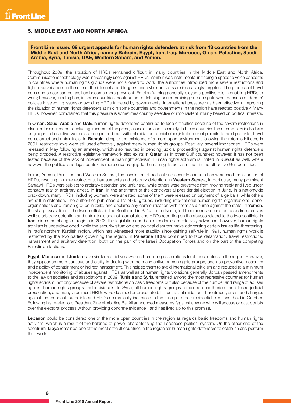#### 5. MIDDLE EAST AND NORTH AFRICA

**Front Line issued 69 urgent appeals for human rights defenders at risk from 13 countries from the Middle East and North Africa, namely Bahrain, Egypt, Iran, Iraq, Morocco, Oman, Palestine, Saudi Arabia, Syria, Tunisia, UAE, Western Sahara, and Yemen.**

Throughout 2009, the situation of HRDs remained difficult in many countries in the Middle East and North Africa. Communications technology was increasingly used against HRDs. While it was instrumental in finding a space to voice concerns in countries where human rights groups were not allowed to work, the authorities introduced more severe restrictions and tighter surveillance on the use of the internet and bloggers and cyber-activists are increasingly targeted. The practice of travel bans and smear campaigns has become more prevalent. Foreign funding generally played a positive role in enabling HRDs to work; however, funding has, in some countries, contributed to defusing or undermining human rights work because of donors' policies in selecting issues or avoiding HRDs targeted by governments. International pressure has been effective in improving the situation of human rights defenders at risk in some countries and governments in the region have reacted positively. Many HRDs, however, complained that this pressure is sometimes country selective or inconsistent, mainly based on political interests.

In Oman, Saudi Arabia and UAE, human rights defenders continued to face difficulties because of the severe restrictions in place on basic freedoms including freedom of the press, association and assembly. In these countries the attempts by individuals or groups to be active were discouraged and met with intimidation, denial of registration or of permits to hold protests, travel bans, arrest and unfair trials. In Bahrain, despite the existence of a more open environment following the reforms initiated in 2001, restrictive laws were still used effectively against many human rights groups. Positively, several imprisoned HRDs were released in May following an amnesty, which also resulted in pending judicial proceedings against human rights defenders being dropped. A restrictive legislative framework also exists in **Qatar**, as in other Gulf countries; however, it has not been tested because of the lack of independent human right activism. Human rights activism is limited in Kuwait as well, where however the political and legal context is more encouraging for human rights activism than in the other five Gulf countries.

In Iran, Yemen, Palestine, and Western Sahara, the escalation of political and security conflicts has worsened the situation of HRDs, resulting in more restrictions, harassments and arbitrary detention. In Western Sahara, in particular, many prominent Sahrawi HRDs were subject to arbitrary detention and unfair trial, while others were prevented from moving freely and lived under constant fear of arbitrary arrest. In Iran, in the aftermath of the controversial presidential election in June, in a nationwide crackdown, many HRDs, including women, were arrested; some of them were released on payment of large bails, while others are still in detention. The authorities published a list of 60 groups, including international human rights organisations, donor organisations and Iranian groups in exile, and declared any communication with them as a crime against the state. In Yemen, the sharp escalation of the two conflicts, in the South and in Sa'da in the North, led to more restrictions on basic freedoms as well as arbitrary detention and unfair trials against journalists and HRDs reporting on the abuses related to the two conflicts. In Iraq, since the change of regime in 2003, the legislation and basic freedoms are relatively advanced; however, human rights activism is underdeveloped, while the security situation and political disputes make addressing certain issues life-threatening. In Iraq's northern Kurdish region, which has witnessed more stability since gaining self-rule in 1991, human rights work is restricted by the two parties governing the region. In Palestine HRDs continued to face defamation, travel restrictions, harassment and arbitrary detention, both on the part of the Israeli Occupation Forces and on the part of the competing Palestinian factions.

Egypt, Morocco and Jordan have similar restrictive laws and human rights violations to other countries in the region. However, they appear as more cautious and crafty in dealing with the many active human rights groups, and use preventive measures and a policy of containment or indirect harassment. This helped them to avoid international criticism and reduced to a minimum independent monitoring of abuses against HRDs as well as of human rights violations generally. Jordan passed amendments to the law on societies and associations in 2009. Tunisia and Syria remained among the most repressive countries for human rights activism, not only because of severe restrictions on basic freedoms but also because of the number and range of abuses against human rights groups and individuals. In Syria, all human rights groups remained unauthorised and faced judicial prosecution, and many prominent HRDs were detained or prosecuted. In Tunisia, intimidation, ill-treatment, arrest and charges against independent journalists and HRDs dramatically increased in the run up to the presidential elections, held in October. Following his re-election, President Zine el-Abidine Bel Ali announced measures "against anyone who will accuse or cast doubts over the electoral process without providing concrete evidence", and has lived up to this promise.

Lebanon could be considered one of the more open countries in the region as regards basic freedoms and human rights activism, which is a result of the balance of power characterising the Lebanese political system. On the other end of the spectrum, Libya remained one of the most difficult countries in the region for human rights defenders to establish and perform their work.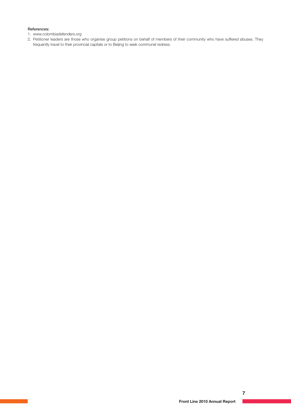#### References:

1. www.colombiadefenders.org

2. Petitioner leaders are those who organise group petitions on behalf of members of their community who have suffered abuses. They frequently travel to their provincial capitals or to Beijing to seek communal redress.